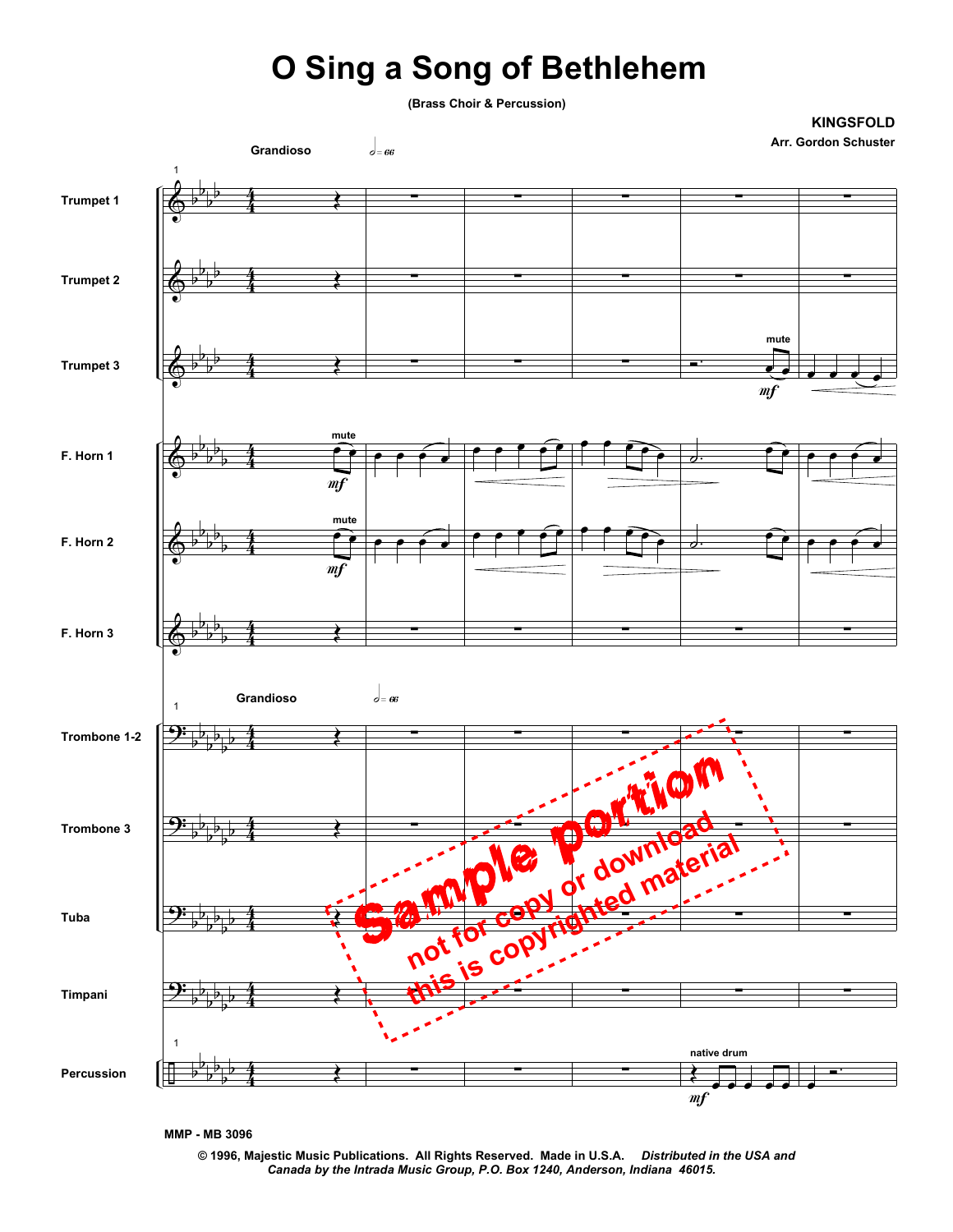## **O Sing a Song of Bethlehem**

**(Brass Choir & Percussion)**

**KINGSFOLD**

 $\pmb{\phi}$  $\bm{\phi}$  $\spadesuit$  $\pmb{\Diamond}$  $\bm{\phi}$  $\bm{\phi}$ <u>9:</u> <u>9:</u> <u>9:</u> <u>9:</u> ÷ b b b b b b b b b b b b b b b b b b b b b b b b b b b b b b b b b b b b b b b b b b b b b b b b b b b b b b b b b 4 4 4 4 4 4 4 4 4 4 4 4 4 4 4 4 4 4 4 4 4 4 **Trumpet 1 Trumpet 2 Trumpet 3 F. Horn 1 F. Horn 2 F. Horn 3 Trombone 1-2 Trombone 3 Tuba Timpani Percussion** 1 Œ Œ Œ mute<br> **Prop**  $\ddot{\bullet}$ Œ 1 Œ Œ Œ  $\overline{\boldsymbol{\xi}}$ 1 Œ **Grandioso Grandioso**  $m f$  $m f$ **mute** ∑ ∑ ∑  $\cdot$   $\cdot$   $\cdot$   $\cdot$  $\overline{\cdots}$ ∑ ∑ ∑ ∑ ∑ ∑  $\overline{\mathcal{O}} = \mathbf{66}$  $\overline{\mathcal{O}} = \mathbf{66}$ ∑ ∑ ∑  $\overline{\cdots}$  $\cdots$ ∑ ∑ ∑ **IS COPY** ∑ ∑ ∑ ∑ ∑  $\overline{\mathcal{C}}$  $\cdot$   $\cdot$   $\cdot$ ∑ ∑ OK downloa ∑ ∑ ∑ ∑ ∑ Ó. œ œ  $\overrightarrow{c}$ .  $\overrightarrow{c}$ . ∑ ∑ ∑ ∑ ∑  $\epsilon$  . . . . **mute**  $m<sub>f</sub>$  $m<sub>f</sub>$ **native drum** ∑ ∑ . . . <u>.</u>  $\cdot$   $\cdot$   $\cdot$   $\cdot$  $\overline{\cdots}$ ∑ ∑ ∑ ∑ ∑  $\overline{\phantom{a}}$ **Arr. Gordon Schuster** not for copyrighted material this is copyrighted material

**MMP - MB 3096**

 **© 1996, Majestic Music Publications. All Rights Reserved. Made in U.S.A.** *Distributed in the USA and Canada by the Intrada Music Group, P.O. Box 1240, Anderson, Indiana 46015.*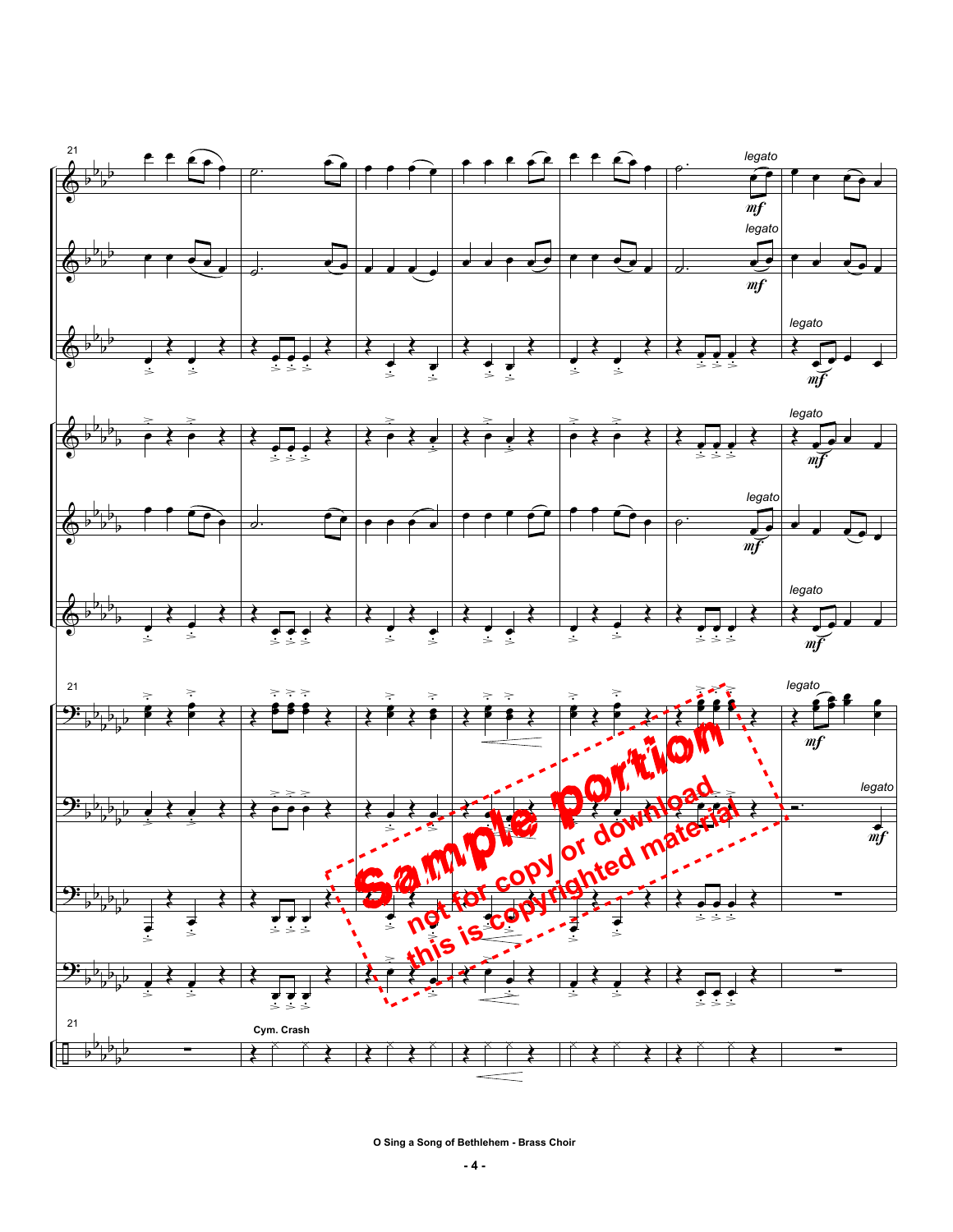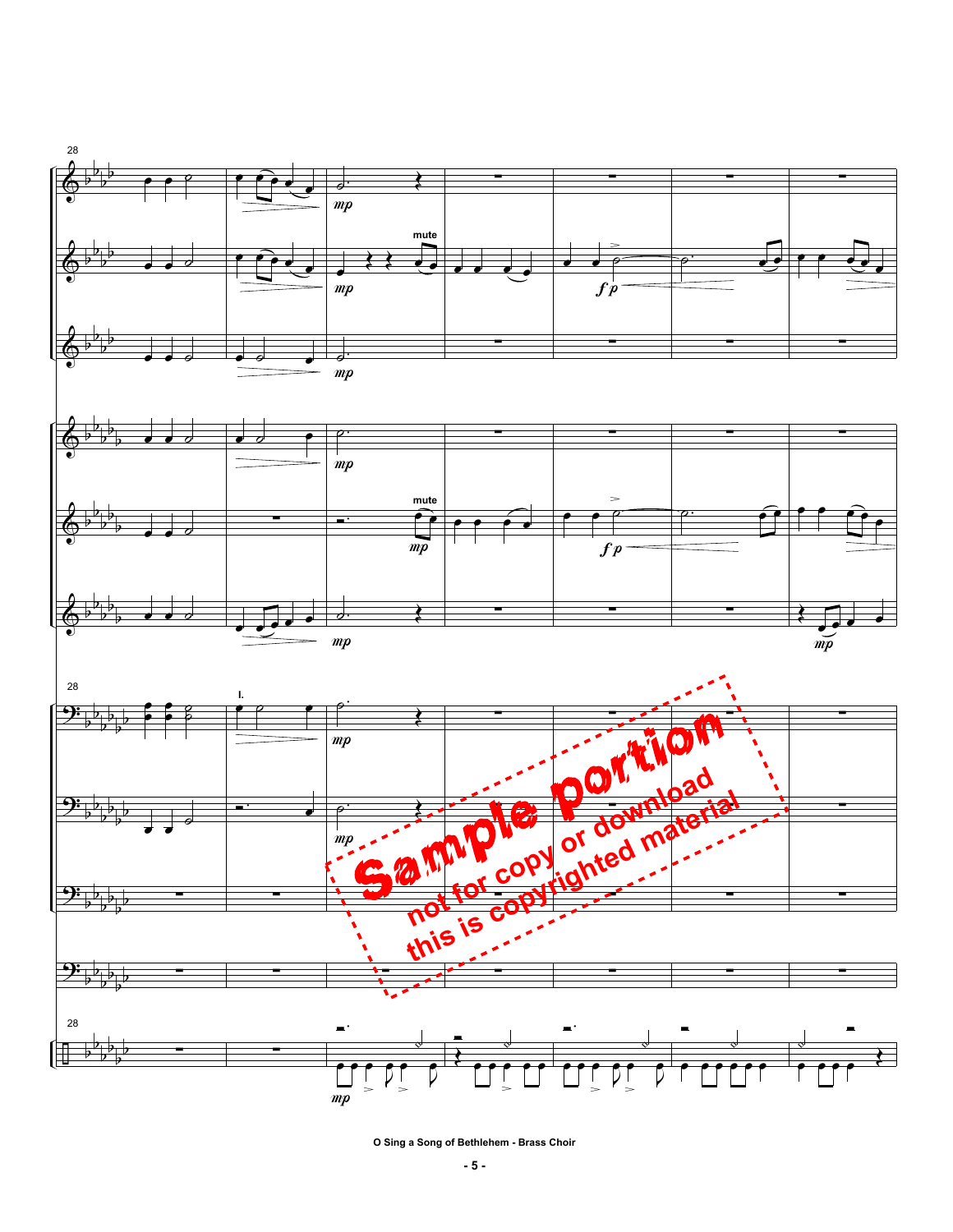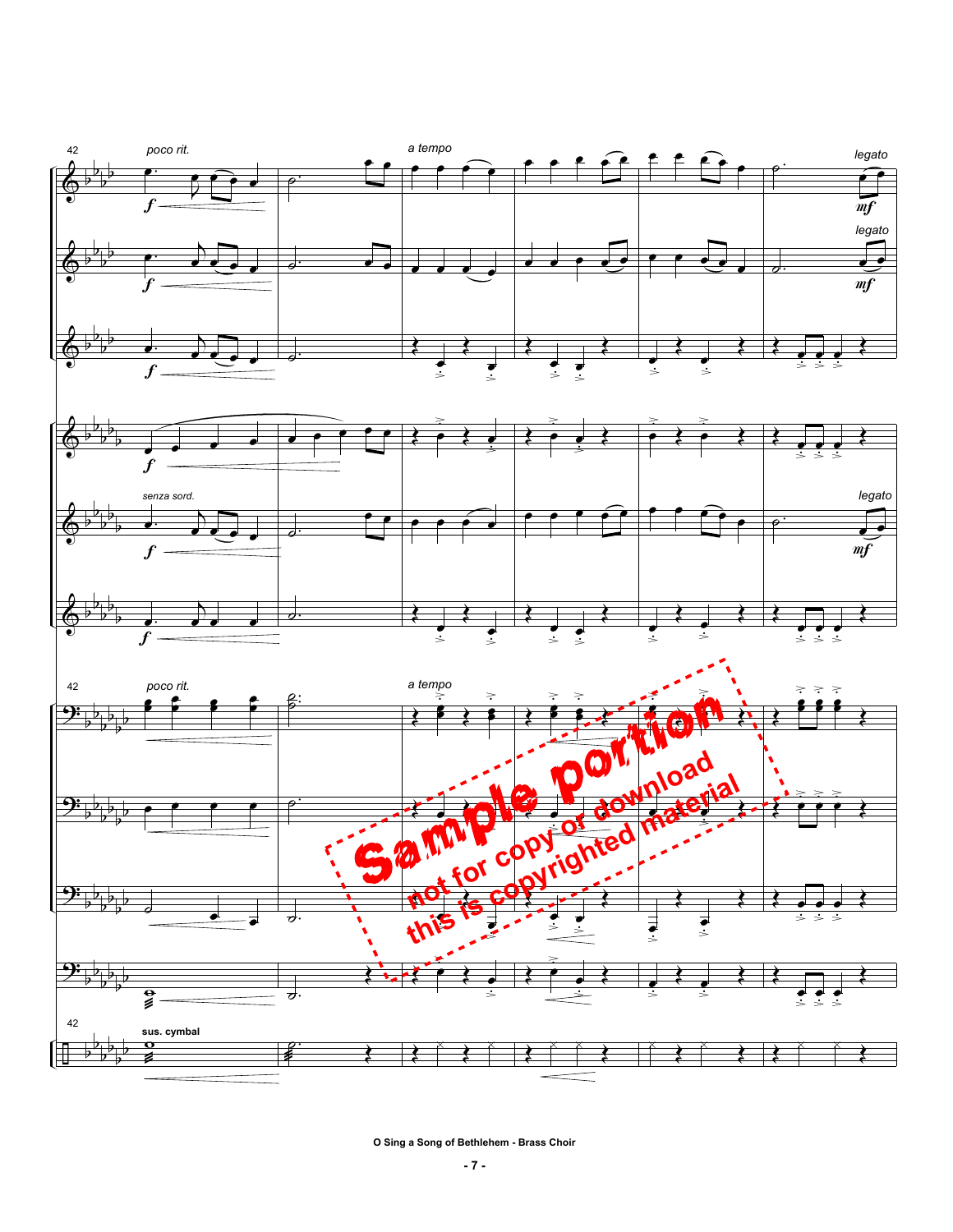